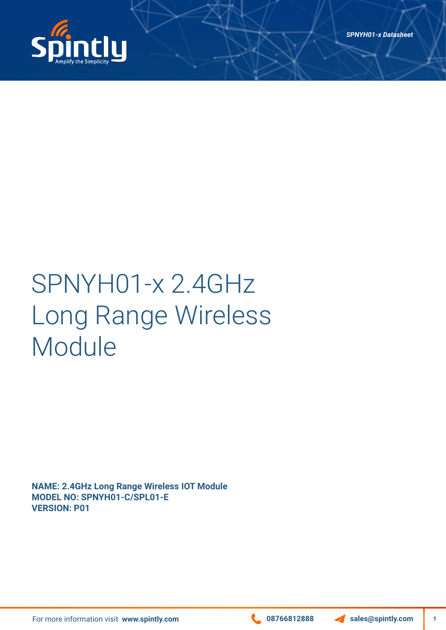

# SPNYH01-x 2.4GHz Long Range Wireless Module

**NAME: 2.4GHz Long Range Wireless IOT Module MODEL NO: SPNYH01-C/SPL01-E VERSION: P01**

For more information visit www.spintly.com **1999 1288 Contract 1999 12888** Sales@spintly.com

**1**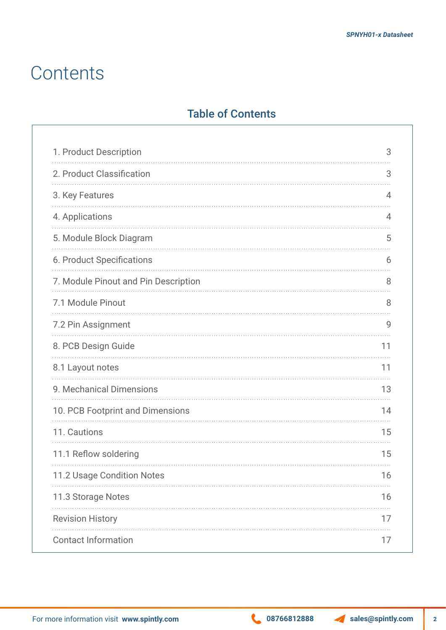### **Contents**

### Table of Contents

| 1. Product Description               | 3  |
|--------------------------------------|----|
| 2. Product Classification            | 3  |
| 3. Key Features                      | 4  |
| 4. Applications                      | 4  |
| 5. Module Block Diagram              | 5  |
| 6. Product Specifications            | 6  |
| 7. Module Pinout and Pin Description | 8  |
| 7.1 Module Pinout                    | 8  |
| 7.2 Pin Assignment                   | 9  |
| 8. PCB Design Guide                  | 11 |
| 8.1 Layout notes                     | 11 |
| 9. Mechanical Dimensions             | 13 |
| 10. PCB Footprint and Dimensions     | 14 |
| 11. Cautions                         | 15 |
| 11.1 Reflow soldering                | 15 |
| 11.2 Usage Condition Notes           | 16 |
| 11.3 Storage Notes                   | 16 |
| <b>Revision History</b>              | 17 |
| <b>Contact Information</b>           | 17 |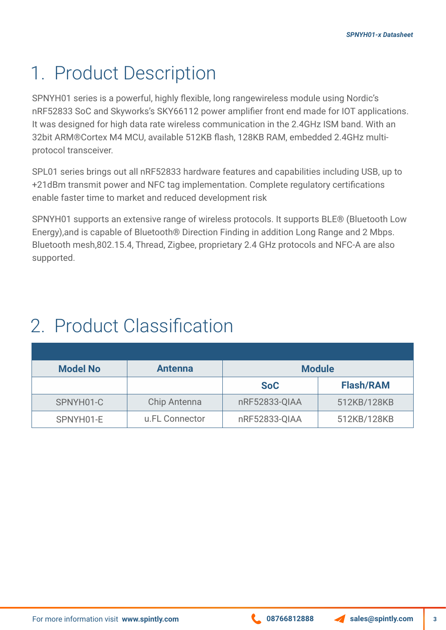### 1. Product Description

SPNYH01 series is a powerful, highly flexible, long rangewireless module using Nordic's nRF52833 SoC and Skyworks's SKY66112 power amplifier front end made for IOT applications. It was designed for high data rate wireless communication in the 2.4GHz ISM band. With an 32bit ARM®Cortex M4 MCU, available 512KB flash, 128KB RAM, embedded 2.4GHz multiprotocol transceiver.

SPL01 series brings out all nRF52833 hardware features and capabilities including USB, up to +21dBm transmit power and NFC tag implementation. Complete regulatory certifications enable faster time to market and reduced development risk

SPNYH01 supports an extensive range of wireless protocols. It supports BLE® (Bluetooth Low Energy),and is capable of Bluetooth® Direction Finding in addition Long Range and 2 Mbps. Bluetooth mesh,802.15.4, Thread, Zigbee, proprietary 2.4 GHz protocols and NFC-A are also supported.

### 2. Product Classification

| <b>Model No</b> | <b>Antenna</b> | <b>Module</b> |                  |
|-----------------|----------------|---------------|------------------|
|                 |                | <b>SoC</b>    | <b>Flash/RAM</b> |
| SPNYH01-C       | Chip Antenna   | nRF52833-QIAA | 512KB/128KB      |
| SPNYH01-E       | u.FL Connector | nRF52833-QIAA | 512KB/128KB      |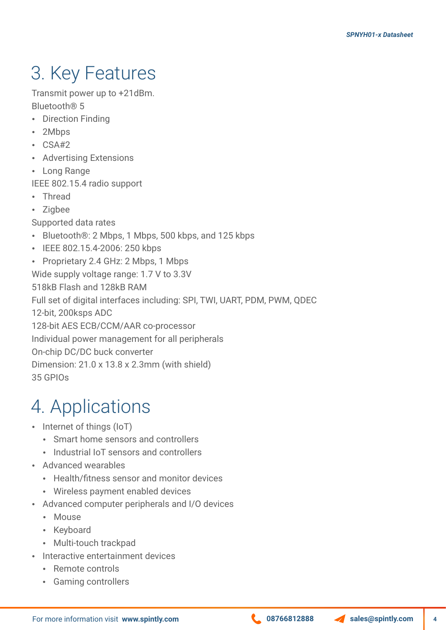# 3. Key Features

Transmit power up to +21dBm. Bluetooth® 5

- Direction Finding
- 2Mbps
- $\cdot$  CSA#2
- Advertising Extensions
- Long Range
- IEEE 802.15.4 radio support
- Thread
- Zigbee
- Supported data rates
- Bluetooth®: 2 Mbps, 1 Mbps, 500 kbps, and 125 kbps
- IEEE 802.15.4-2006: 250 kbps
- Proprietary 2.4 GHz: 2 Mbps, 1 Mbps

Wide supply voltage range: 1.7 V to 3.3V

518kB Flash and 128kB RAM

Full set of digital interfaces including: SPI, TWI, UART, PDM, PWM, QDEC

12-bit, 200ksps ADC

128-bit AES ECB/CCM/AAR co-processor

Individual power management for all peripherals

On-chip DC/DC buck converter

Dimension: 21.0 x 13.8 x 2.3mm (with shield)

35 GPIOs

# 4. Applications

- $\cdot$  Internet of things (IoT)
	- Smart home sensors and controllers
	- Industrial IoT sensors and controllers
- Advanced wearables
	- Health/fitness sensor and monitor devices
	- Wireless payment enabled devices
- Advanced computer peripherals and I/O devices
	- Mouse
	- Keyboard
	- Multi-touch trackpad
- Interactive entertainment devices
	- Remote controls
	- Gaming controllers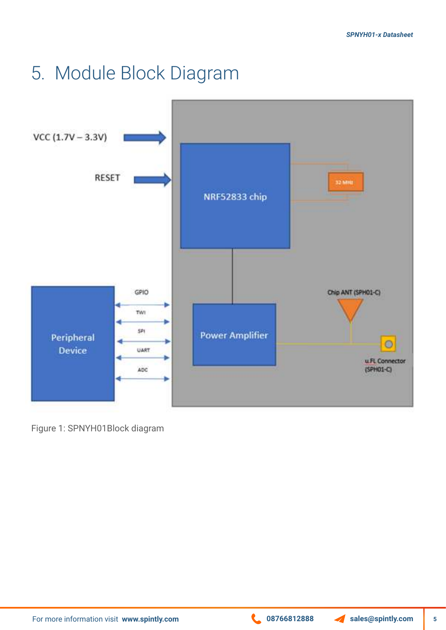### 5. Module Block Diagram



Figure 1: SPNYH01Block diagram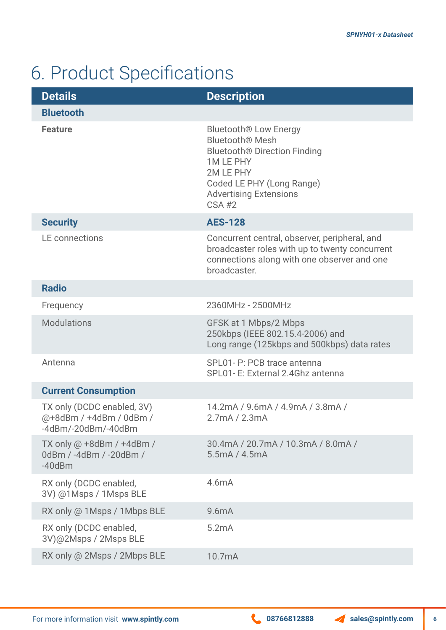# 6. Product Specifications

| <b>Details</b>                                                                          | <b>Description</b>                                                                                                                                                                                          |
|-----------------------------------------------------------------------------------------|-------------------------------------------------------------------------------------------------------------------------------------------------------------------------------------------------------------|
| <b>Bluetooth</b>                                                                        |                                                                                                                                                                                                             |
| <b>Feature</b>                                                                          | <b>Bluetooth® Low Energy</b><br><b>Bluetooth® Mesh</b><br>Bluetooth <sup>®</sup> Direction Finding<br><b>1MLEPHY</b><br>2M LE PHY<br>Coded LE PHY (Long Range)<br><b>Advertising Extensions</b><br>$CSA$ #2 |
| <b>Security</b>                                                                         | <b>AES-128</b>                                                                                                                                                                                              |
| <b>LE</b> connections                                                                   | Concurrent central, observer, peripheral, and<br>broadcaster roles with up to twenty concurrent<br>connections along with one observer and one<br>broadcaster.                                              |
| <b>Radio</b>                                                                            |                                                                                                                                                                                                             |
| Frequency                                                                               | 2360MHz - 2500MHz                                                                                                                                                                                           |
| <b>Modulations</b>                                                                      | GFSK at 1 Mbps/2 Mbps<br>250kbps (IEEE 802.15.4-2006) and<br>Long range (125kbps and 500kbps) data rates                                                                                                    |
| Antenna                                                                                 | SPL01- P: PCB trace antenna<br>SPL01- E: External 2.4Ghz antenna                                                                                                                                            |
| <b>Current Consumption</b>                                                              |                                                                                                                                                                                                             |
| TX only (DCDC enabled, 3V)<br>@+8dBm / +4dBm / 0dBm /<br>$-4d$ Bm/ $-20d$ Bm/ $-40d$ Bm | 14.2mA / 9.6mA / 4.9mA / 3.8mA /<br>2.7mA / 2.3mA                                                                                                                                                           |
| TX only $@ + 8d$ Bm / $+4d$ Bm /<br>0dBm / -4dBm / -20dBm /<br>$-40$ d $Bm$             | 30.4mA / 20.7mA / 10.3mA / 8.0mA /<br>5.5mA / 4.5mA                                                                                                                                                         |
| RX only (DCDC enabled,<br>3V) @1Msps / 1Msps BLE                                        | 4.6mA                                                                                                                                                                                                       |
| RX only @ 1Msps / 1Mbps BLE                                                             | 9.6mA                                                                                                                                                                                                       |
| RX only (DCDC enabled,<br>3V)@2Msps / 2Msps BLE                                         | 5.2mA                                                                                                                                                                                                       |
| RX only @ 2Msps / 2Mbps BLE                                                             | 10.7mA                                                                                                                                                                                                      |

**6**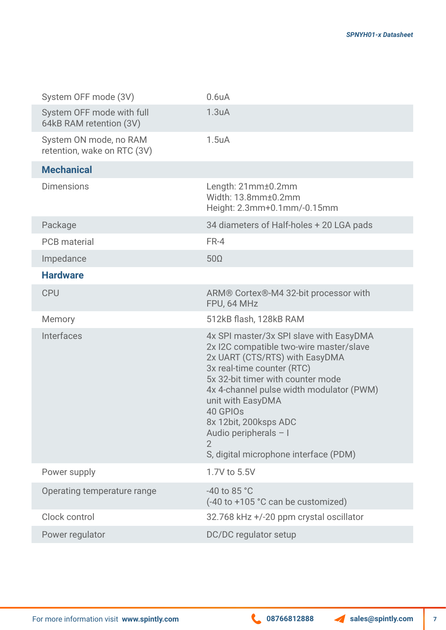**7**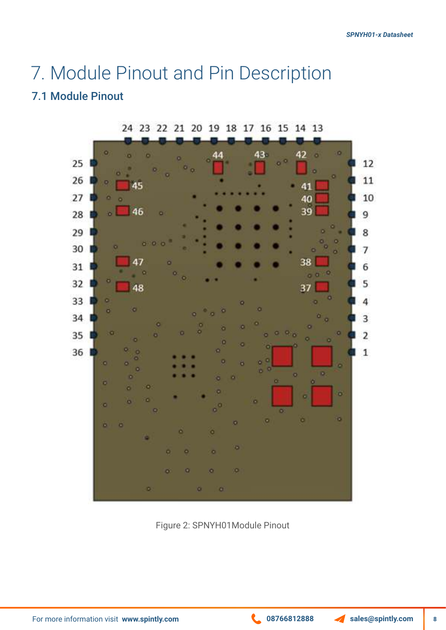### 7. Module Pinout and Pin Description

### 7.1 Module Pinout



Figure 2: SPNYH01Module Pinout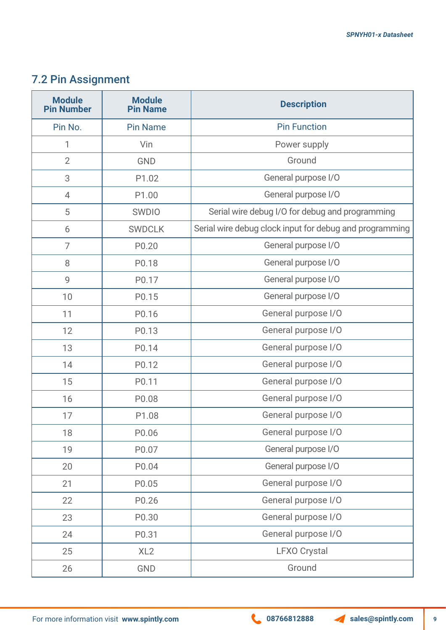### 7.2 Pin Assignment

| <b>Module</b><br><b>Pin Number</b> | <b>Module</b><br><b>Pin Name</b> | <b>Description</b>                                      |
|------------------------------------|----------------------------------|---------------------------------------------------------|
| Pin No.                            | <b>Pin Name</b>                  | <b>Pin Function</b>                                     |
| 1                                  | Vin                              | Power supply                                            |
| $\overline{2}$                     | <b>GND</b>                       | Ground                                                  |
| 3                                  | P1.02                            | General purpose I/O                                     |
| 4                                  | P1.00                            | General purpose I/O                                     |
| 5                                  | <b>SWDIO</b>                     | Serial wire debug I/O for debug and programming         |
| 6                                  | <b>SWDCLK</b>                    | Serial wire debug clock input for debug and programming |
| $\overline{7}$                     | P0.20                            | General purpose I/O                                     |
| 8                                  | P0.18                            | General purpose I/O                                     |
| 9                                  | P0.17                            | General purpose I/O                                     |
| 10                                 | P0.15                            | General purpose I/O                                     |
| 11                                 | P0.16                            | General purpose I/O                                     |
| 12                                 | P0.13                            | General purpose I/O                                     |
| 13                                 | P0.14                            | General purpose I/O                                     |
| 14                                 | P0.12                            | General purpose I/O                                     |
| 15                                 | P0.11                            | General purpose I/O                                     |
| 16                                 | P0.08                            | General purpose I/O                                     |
| 17                                 | P1.08                            | General purpose I/O                                     |
| 18                                 | P0.06                            | General purpose I/O                                     |
| 19                                 | P0.07                            | General purpose I/O                                     |
| 20                                 | P0.04                            | General purpose I/O                                     |
| 21                                 | P0.05                            | General purpose I/O                                     |
| 22                                 | P0.26                            | General purpose I/O                                     |
| 23                                 | P0.30                            | General purpose I/O                                     |
| 24                                 | P0.31                            | General purpose I/O                                     |
| 25                                 | XL2                              | <b>LFXO Crystal</b>                                     |
| 26                                 | GND                              | Ground                                                  |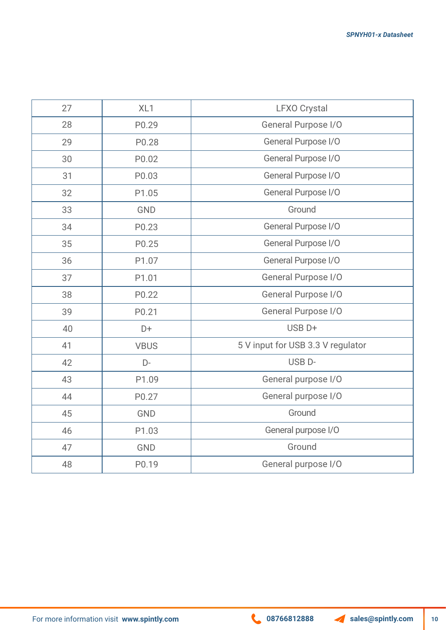| 27 | XL <sub>1</sub> | <b>LFXO Crystal</b>               |  |
|----|-----------------|-----------------------------------|--|
| 28 | P0.29           | <b>General Purpose I/O</b>        |  |
| 29 | P0.28           | General Purpose I/O               |  |
| 30 | P0.02           | General Purpose I/O               |  |
| 31 | P0.03           | General Purpose I/O               |  |
| 32 | P1.05           | General Purpose I/O               |  |
| 33 | GND             | Ground                            |  |
| 34 | P0.23           | General Purpose I/O               |  |
| 35 | P0.25           | General Purpose I/O               |  |
| 36 | P1.07           | General Purpose I/O               |  |
| 37 | P1.01           | General Purpose I/O               |  |
| 38 | P0.22           | General Purpose I/O               |  |
| 39 | P0.21           | General Purpose I/O               |  |
| 40 | D+              | USB <sub>D+</sub>                 |  |
| 41 | <b>VBUS</b>     | 5 V input for USB 3.3 V regulator |  |
| 42 | D-              | USB <sub>D</sub> -                |  |
| 43 | P1.09           | General purpose I/O               |  |
| 44 | P0.27           | General purpose I/O               |  |
| 45 | <b>GND</b>      | Ground                            |  |
| 46 | P1.03           | General purpose I/O               |  |
| 47 | GND             | Ground                            |  |
| 48 | P0.19           | General purpose I/O               |  |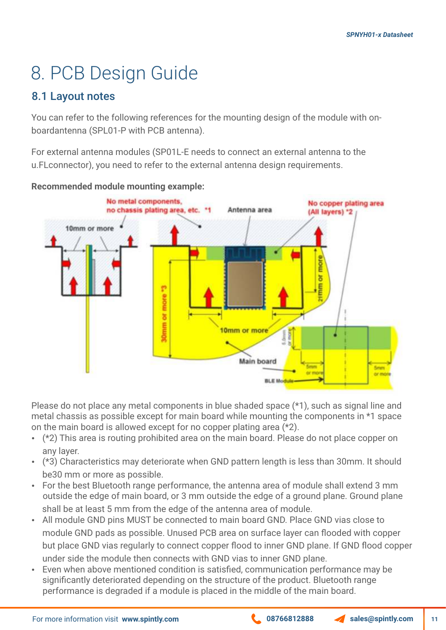# 8. PCB Design Guide

### 8.1 Layout notes

You can refer to the following references for the mounting design of the module with onboardantenna (SPL01-P with PCB antenna).

For external antenna modules (SP01L-E needs to connect an external antenna to the u.FLconnector), you need to refer to the external antenna design requirements.



**Recommended module mounting example:**

Please do not place any metal components in blue shaded space (\*1), such as signal line and metal chassis as possible except for main board while mounting the components in \*1 space on the main board is allowed except for no copper plating area (\*2).

- $\cdot$  (\*2) This area is routing prohibited area on the main board. Please do not place copper on any layer.
- (\*3) Characteristics may deteriorate when GND pattern length is less than 30mm. It should be30 mm or more as possible.
- For the best Bluetooth range performance, the antenna area of module shall extend 3 mm outside the edge of main board, or 3 mm outside the edge of a ground plane. Ground plane shall be at least 5 mm from the edge of the antenna area of module.
- All module GND pins MUST be connected to main board GND. Place GND vias close to module GND pads as possible. Unused PCB area on surface layer can flooded with copper but place GND vias regularly to connect copper flood to inner GND plane. If GND flood copper under side the module then connects with GND vias to inner GND plane.
- Even when above mentioned condition is satisfied, communication performance may be significantly deteriorated depending on the structure of the product. Bluetooth range performance is degraded if a module is placed in the middle of the main board.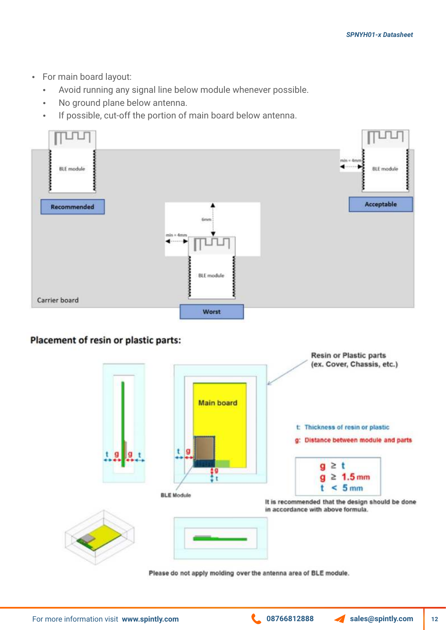- For main board layout:
	- Avoid running any signal line below module whenever possible.
	- No ground plane below antenna.
	- If possible, cut-off the portion of main board below antenna.



#### Placement of resin or plastic parts:



Please do not apply molding over the antenna area of BLE module.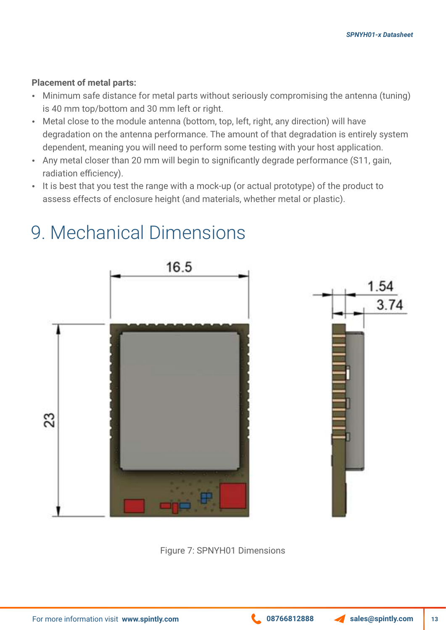#### **Placement of metal parts:**

- Minimum safe distance for metal parts without seriously compromising the antenna (tuning) is 40 mm top/bottom and 30 mm left or right.
- Metal close to the module antenna (bottom, top, left, right, any direction) will have degradation on the antenna performance. The amount of that degradation is entirely system dependent, meaning you will need to perform some testing with your host application.
- Any metal closer than 20 mm will begin to significantly degrade performance (S11, gain, radiation efficiency).
- It is best that you test the range with a mock-up (or actual prototype) of the product to assess effects of enclosure height (and materials, whether metal or plastic).



### 9. Mechanical Dimensions



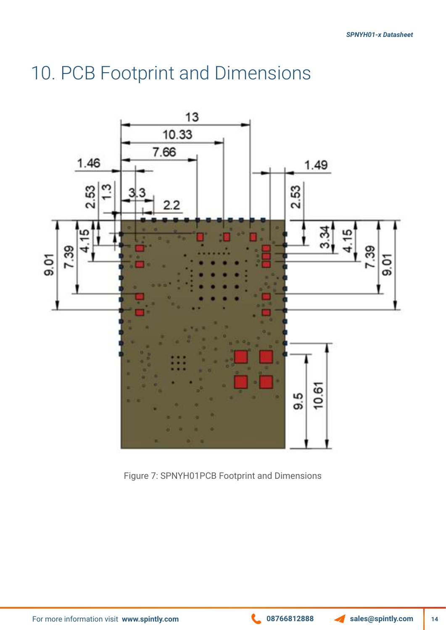### 10. PCB Footprint and Dimensions



Figure 7: SPNYH01PCB Footprint and Dimensions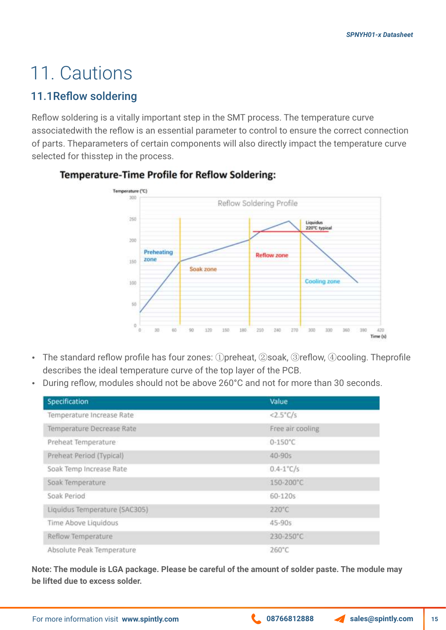### 11. Cautions

### 11.1Reflow soldering

Reflow soldering is a vitally important step in the SMT process. The temperature curve associatedwith the reflow is an essential parameter to control to ensure the correct connection of parts. Theparameters of certain components will also directly impact the temperature curve selected for thisstep in the process.



#### **Temperature-Time Profile for Reflow Soldering:**

- The standard reflow profile has four zones: ①preheat, ②soak, ③reflow, ④cooling. Theprofile describes the ideal temperature curve of the top layer of the PCB.
- During reflow, modules should not be above 260°C and not for more than 30 seconds.

| Specification                 | Value               |  |
|-------------------------------|---------------------|--|
| Temperature Increase Rate     | $<2.5^{\circ}C/s$   |  |
| Temperature Decrease Rate     | Free air cooling    |  |
| Preheat Temperature           | $0 - 150^{\circ}$ C |  |
| Preheat Period (Typical)      | $40 - 90s$          |  |
| Soak Temp Increase Rate       | $0.4 - 1$ °C/s      |  |
| Soak Temperature              | 150-200°C           |  |
| Soak Period                   | 60-120s             |  |
| Liquidus Temperature (SAC305) | 220°C               |  |
| Time Above Liquidous          | 45-90s              |  |
| Reflow Temperature            | 230-250°C           |  |
| Absolute Peak Temperature     | 260°C               |  |

**Note: The module is LGA package. Please be careful of the amount of solder paste. The module may be lifted due to excess solder.**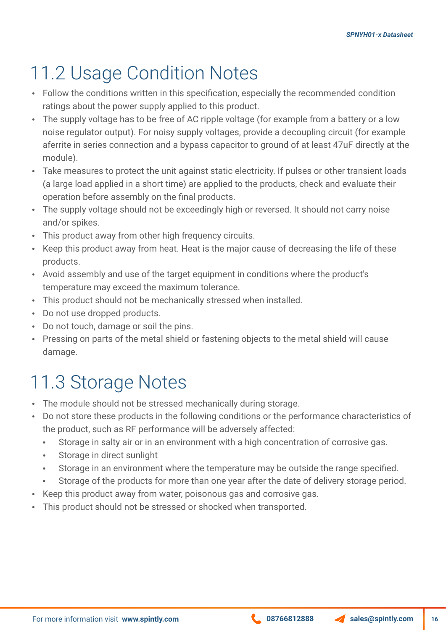# 11.2 Usage Condition Notes

- Follow the conditions written in this specification, especially the recommended condition ratings about the power supply applied to this product.
- The supply voltage has to be free of AC ripple voltage (for example from a battery or a low noise regulator output). For noisy supply voltages, provide a decoupling circuit (for example aferrite in series connection and a bypass capacitor to ground of at least 47uF directly at the module).
- Take measures to protect the unit against static electricity. If pulses or other transient loads (a large load applied in a short time) are applied to the products, check and evaluate their operation before assembly on the final products.
- The supply voltage should not be exceedingly high or reversed. It should not carry noise and/or spikes.
- This product away from other high frequency circuits.
- Keep this product away from heat. Heat is the major cause of decreasing the life of these products.
- Avoid assembly and use of the target equipment in conditions where the product's temperature may exceed the maximum tolerance.
- This product should not be mechanically stressed when installed.
- Do not use dropped products.
- Do not touch, damage or soil the pins.
- Pressing on parts of the metal shield or fastening objects to the metal shield will cause damage.

### 11.3 Storage Notes

- The module should not be stressed mechanically during storage.
- Do not store these products in the following conditions or the performance characteristics of the product, such as RF performance will be adversely affected:
	- Storage in salty air or in an environment with a high concentration of corrosive gas.
	- Storage in direct sunlight
	- Storage in an environment where the temperature may be outside the range specified.
	- Storage of the products for more than one year after the date of delivery storage period.
- Keep this product away from water, poisonous gas and corrosive gas.
- This product should not be stressed or shocked when transported.